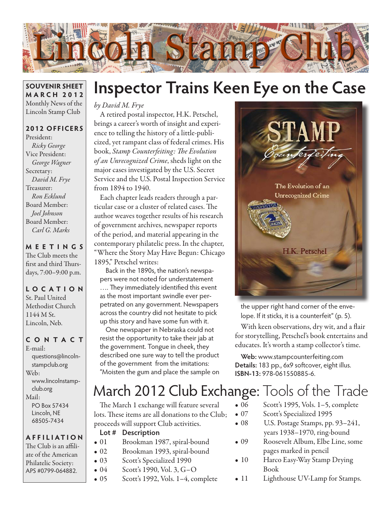

#### **SOUVENIR SHEET MARCH 2012** Monthly News of the Lincoln Stamp Club

### **2012 OFFICERS**

President: *Ricky George* Vice President: *George Wagner* Secretary: *David M. Frye* Treasurer: *Ron Ecklund* Board Member: *Joel Johnson* Board Member: *Carl G. Marks*

**MEETINGS**

The Club meets the first and third Thursdays, 7:00–9:00 p.m.

**LO C ATI O N** St. Paul United Methodist Church 1144 M St. Lincoln, Neb.

### **CONTACT**

E-mail: questions@lincolnstampclub.org Web: www.lincolnstampclub.org Mail: PO Box 57434 Lincoln, NE 68505-7434

#### **AFFI LIATI O N**

The Club is an affiliate of the American Philatelic Society: APS #0799-064882.

# **Inspector Trains Keen Eye on the Case**

*by David M. Frye*

A retired postal inspector, H.K. Petschel, brings a career's worth of insight and experience to telling the history of a little-publicized, yet rampant class of federal crimes. His book, *Stamp Counterfeiting: The Evolution of an Unrecognized Crime*, sheds light on the major cases investigated by the U.S. Secret Service and the U.S. Postal Inspection Service from 1894 to 1940.

Each chapter leads readers through a particular case or a cluster of related cases. The author weaves together results of his research of government archives, newspaper reports of the period, and material appearing in the contemporary philatelic press. In the chapter, "Where the Story May Have Begun: Chicago 1895," Petschel writes:

Back in the 1890s, the nation's newspapers were not noted for understatement …. They immediately identified this event as the most important swindle ever perpetrated on any government. Newspapers across the country did not hesitate to pick up this story and have some fun with it.

One newspaper in Nebraska could not resist the opportunity to take their jab at the government. Tongue in cheek, they described one sure way to tell the product of the government from the imitations: "Moisten the gum and place the sample on



the upper right hand corner of the envelope. If it sticks, it is a counterfeit" (p. 5).

With keen observations, dry wit, and a flair for storytelling, Petschel's book entertains and educates. It's worth a stamp collector's time.

**Web:** www.stampcounterfeiting.com **Details:** 183 pp., 6x9 softcover, eight illus. **ISBN-13:** 978-061550885-6.

## March 2012 Club Exchange: Tools of the Trade

The March 1 exchange will feature several lots. These items are all donations to the Club; proceeds will support Club activities.

#### **Lot # Description**

- 01 Brookman 1987, spiral-bound
- 02 Brookman 1993, spiral-bound
- 03 Scott's Specialized 1990
- 04 Scott's 1990, Vol. 3, G-O
- 05 Scott's 1992, Vols. 1–4, complete
- 06 Scott's 1995, Vols. 1–5, complete
- 07 Scott's Specialized 1995
- 08 U.S. Postage Stamps, pp. 93–241, years 1938–1970, ring-bound
- • 09 Roosevelt Album, Elbe Line, some pages marked in pencil
- 10 Harco Easy-Way Stamp Drying Book
- 11 Lighthouse UV-Lamp for Stamps.